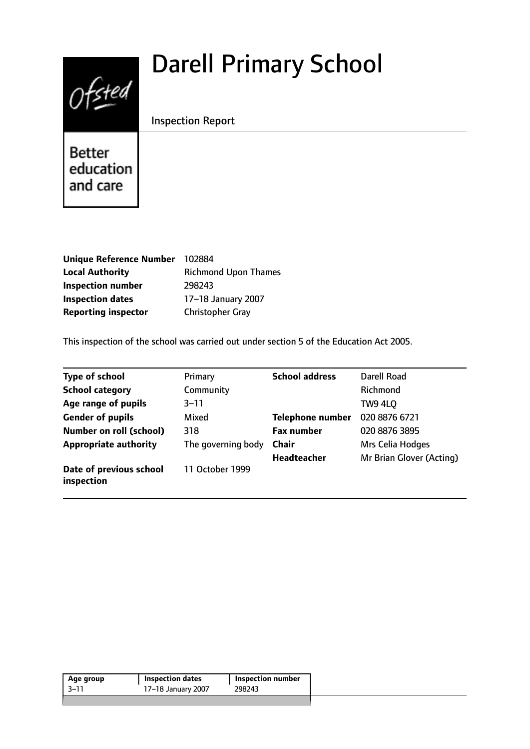# Darell Primary School



Inspection Report

Better education and care

| Unique Reference Number 102884 |                             |
|--------------------------------|-----------------------------|
| <b>Local Authority</b>         | <b>Richmond Upon Thames</b> |
| <b>Inspection number</b>       | 298243                      |
| <b>Inspection dates</b>        | 17-18 January 2007          |
| <b>Reporting inspector</b>     | <b>Christopher Gray</b>     |

This inspection of the school was carried out under section 5 of the Education Act 2005.

| <b>Type of school</b>                 | Primary            | <b>School address</b>   | Darell Road              |
|---------------------------------------|--------------------|-------------------------|--------------------------|
| <b>School category</b>                | Community          |                         | Richmond                 |
| Age range of pupils                   | 3–11               |                         | TW9 4LO                  |
| <b>Gender of pupils</b>               | Mixed              | <b>Telephone number</b> | 020 8876 6721            |
| <b>Number on roll (school)</b>        | 318                | <b>Fax number</b>       | 020 8876 3895            |
| <b>Appropriate authority</b>          | The governing body | <b>Chair</b>            | Mrs Celia Hodges         |
|                                       |                    | Headteacher             | Mr Brian Glover (Acting) |
| Date of previous school<br>inspection | 11 October 1999    |                         |                          |

| Age group | <b>Inspection dates</b> | <b>Inspection number</b> |
|-----------|-------------------------|--------------------------|
| -3–11     | 17-18 January 2007      | 298243                   |
|           |                         |                          |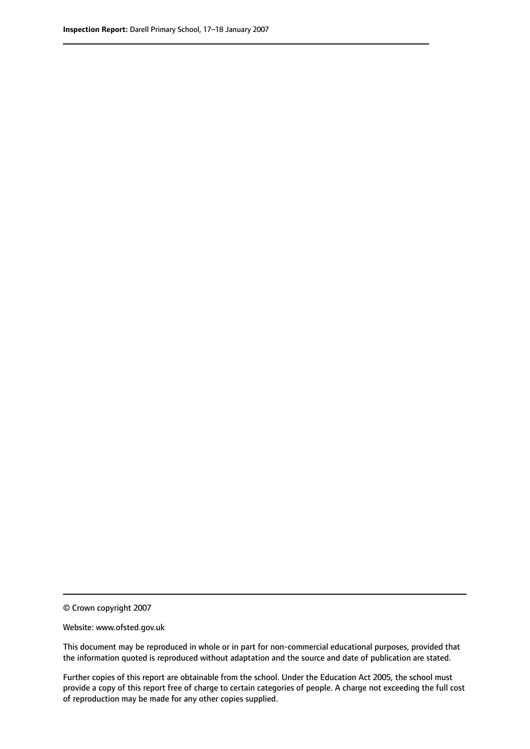© Crown copyright 2007

Website: www.ofsted.gov.uk

This document may be reproduced in whole or in part for non-commercial educational purposes, provided that the information quoted is reproduced without adaptation and the source and date of publication are stated.

Further copies of this report are obtainable from the school. Under the Education Act 2005, the school must provide a copy of this report free of charge to certain categories of people. A charge not exceeding the full cost of reproduction may be made for any other copies supplied.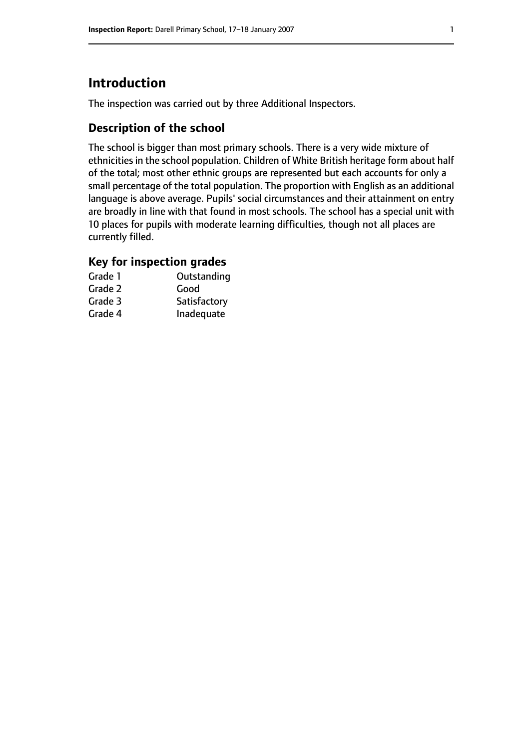# **Introduction**

The inspection was carried out by three Additional Inspectors.

## **Description of the school**

The school is bigger than most primary schools. There is a very wide mixture of ethnicities in the school population. Children of White British heritage form about half of the total; most other ethnic groups are represented but each accounts for only a small percentage of the total population. The proportion with English as an additional language is above average. Pupils' social circumstances and their attainment on entry are broadly in line with that found in most schools. The school has a special unit with 10 places for pupils with moderate learning difficulties, though not all places are currently filled.

### **Key for inspection grades**

| Grade 1 | Outstanding  |
|---------|--------------|
| Grade 2 | Good         |
| Grade 3 | Satisfactory |
| Grade 4 | Inadequate   |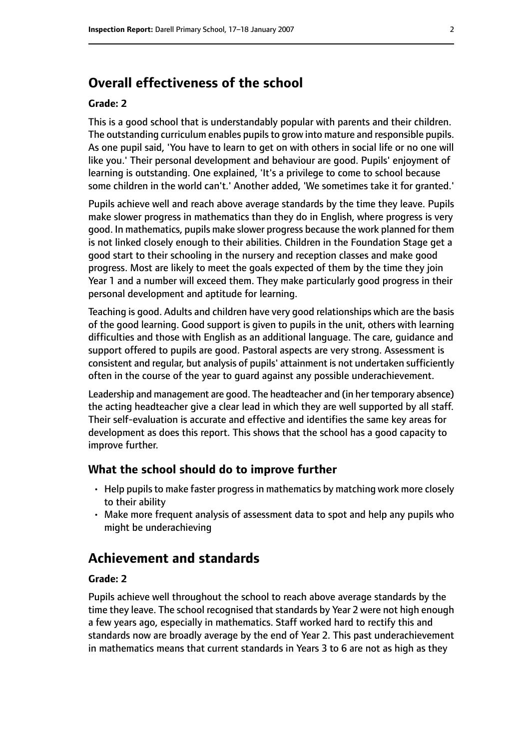# **Overall effectiveness of the school**

#### **Grade: 2**

This is a good school that is understandably popular with parents and their children. The outstanding curriculum enables pupils to grow into mature and responsible pupils. As one pupil said, 'You have to learn to get on with others in social life or no one will like you.' Their personal development and behaviour are good. Pupils' enjoyment of learning is outstanding. One explained, 'It's a privilege to come to school because some children in the world can't.' Another added, 'We sometimes take it for granted.'

Pupils achieve well and reach above average standards by the time they leave. Pupils make slower progress in mathematics than they do in English, where progress is very good. In mathematics, pupils make slower progress because the work planned for them is not linked closely enough to their abilities. Children in the Foundation Stage get a good start to their schooling in the nursery and reception classes and make good progress. Most are likely to meet the goals expected of them by the time they join Year 1 and a number will exceed them. They make particularly good progress in their personal development and aptitude for learning.

Teaching is good. Adults and children have very good relationships which are the basis of the good learning. Good support is given to pupils in the unit, others with learning difficulties and those with English as an additional language. The care, guidance and support offered to pupils are good. Pastoral aspects are very strong. Assessment is consistent and regular, but analysis of pupils' attainment is not undertaken sufficiently often in the course of the year to guard against any possible underachievement.

Leadership and management are good. The headteacher and (in her temporary absence) the acting headteacher give a clear lead in which they are well supported by all staff. Their self-evaluation is accurate and effective and identifies the same key areas for development as does this report. This shows that the school has a good capacity to improve further.

#### **What the school should do to improve further**

- Help pupils to make faster progress in mathematics by matching work more closely to their ability
- Make more frequent analysis of assessment data to spot and help any pupils who might be underachieving

### **Achievement and standards**

#### **Grade: 2**

Pupils achieve well throughout the school to reach above average standards by the time they leave. The school recognised that standards by Year 2 were not high enough a few years ago, especially in mathematics. Staff worked hard to rectify this and standards now are broadly average by the end of Year 2. This past underachievement in mathematics means that current standards in Years 3 to 6 are not as high as they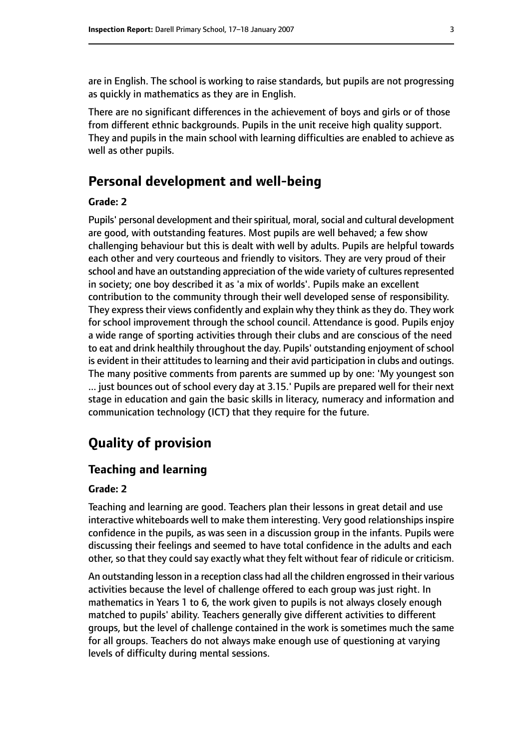are in English. The school is working to raise standards, but pupils are not progressing as quickly in mathematics as they are in English.

There are no significant differences in the achievement of boys and girls or of those from different ethnic backgrounds. Pupils in the unit receive high quality support. They and pupils in the main school with learning difficulties are enabled to achieve as well as other pupils.

# **Personal development and well-being**

#### **Grade: 2**

Pupils' personal development and their spiritual, moral, social and cultural development are good, with outstanding features. Most pupils are well behaved; a few show challenging behaviour but this is dealt with well by adults. Pupils are helpful towards each other and very courteous and friendly to visitors. They are very proud of their school and have an outstanding appreciation of the wide variety of cultures represented in society; one boy described it as 'a mix of worlds'. Pupils make an excellent contribution to the community through their well developed sense of responsibility. They express their views confidently and explain why they think as they do. They work for school improvement through the school council. Attendance is good. Pupils enjoy a wide range of sporting activities through their clubs and are conscious of the need to eat and drink healthily throughout the day. Pupils' outstanding enjoyment of school is evident in their attitudes to learning and their avid participation in clubs and outings. The many positive comments from parents are summed up by one: 'My youngest son ... just bounces out of school every day at 3.15.' Pupils are prepared well for their next stage in education and gain the basic skills in literacy, numeracy and information and communication technology (ICT) that they require for the future.

# **Quality of provision**

#### **Teaching and learning**

#### **Grade: 2**

Teaching and learning are good. Teachers plan their lessons in great detail and use interactive whiteboards well to make them interesting. Very good relationships inspire confidence in the pupils, as was seen in a discussion group in the infants. Pupils were discussing their feelings and seemed to have total confidence in the adults and each other, so that they could say exactly what they felt without fear of ridicule or criticism.

An outstanding lesson in a reception class had all the children engrossed in their various activities because the level of challenge offered to each group was just right. In mathematics in Years 1 to 6, the work given to pupils is not always closely enough matched to pupils' ability. Teachers generally give different activities to different groups, but the level of challenge contained in the work is sometimes much the same for all groups. Teachers do not always make enough use of questioning at varying levels of difficulty during mental sessions.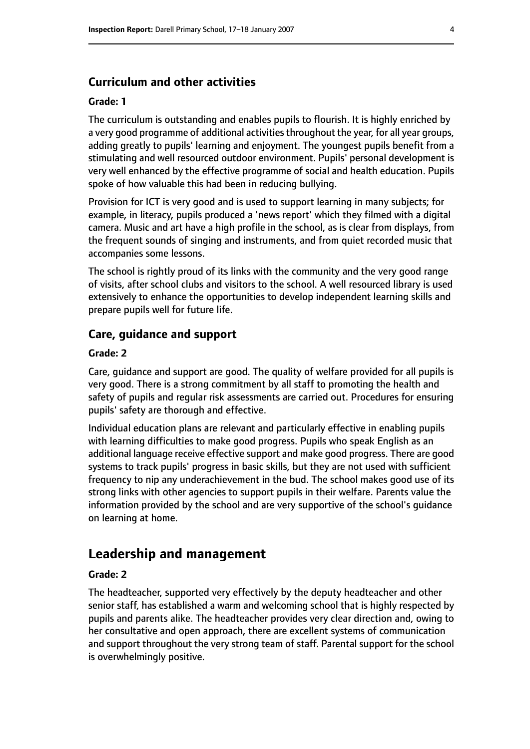#### **Curriculum and other activities**

#### **Grade: 1**

The curriculum is outstanding and enables pupils to flourish. It is highly enriched by a very good programme of additional activities throughout the year, for all year groups, adding greatly to pupils' learning and enjoyment. The youngest pupils benefit from a stimulating and well resourced outdoor environment. Pupils' personal development is very well enhanced by the effective programme of social and health education. Pupils spoke of how valuable this had been in reducing bullying.

Provision for ICT is very good and is used to support learning in many subjects; for example, in literacy, pupils produced a 'news report' which they filmed with a digital camera. Music and art have a high profile in the school, as is clear from displays, from the frequent sounds of singing and instruments, and from quiet recorded music that accompanies some lessons.

The school is rightly proud of its links with the community and the very good range of visits, after school clubs and visitors to the school. A well resourced library is used extensively to enhance the opportunities to develop independent learning skills and prepare pupils well for future life.

#### **Care, guidance and support**

#### **Grade: 2**

Care, guidance and support are good. The quality of welfare provided for all pupils is very good. There is a strong commitment by all staff to promoting the health and safety of pupils and regular risk assessments are carried out. Procedures for ensuring pupils' safety are thorough and effective.

Individual education plans are relevant and particularly effective in enabling pupils with learning difficulties to make good progress. Pupils who speak English as an additional language receive effective support and make good progress. There are good systems to track pupils' progress in basic skills, but they are not used with sufficient frequency to nip any underachievement in the bud. The school makes good use of its strong links with other agencies to support pupils in their welfare. Parents value the information provided by the school and are very supportive of the school's guidance on learning at home.

#### **Leadership and management**

#### **Grade: 2**

The headteacher, supported very effectively by the deputy headteacher and other senior staff, has established a warm and welcoming school that is highly respected by pupils and parents alike. The headteacher provides very clear direction and, owing to her consultative and open approach, there are excellent systems of communication and support throughout the very strong team of staff. Parental support for the school is overwhelmingly positive.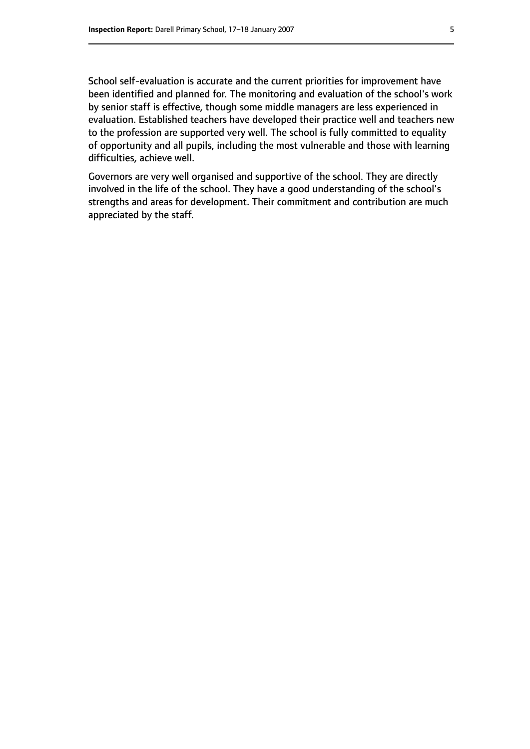School self-evaluation is accurate and the current priorities for improvement have been identified and planned for. The monitoring and evaluation of the school's work by senior staff is effective, though some middle managers are less experienced in evaluation. Established teachers have developed their practice well and teachers new to the profession are supported very well. The school is fully committed to equality of opportunity and all pupils, including the most vulnerable and those with learning difficulties, achieve well.

Governors are very well organised and supportive of the school. They are directly involved in the life of the school. They have a good understanding of the school's strengths and areas for development. Their commitment and contribution are much appreciated by the staff.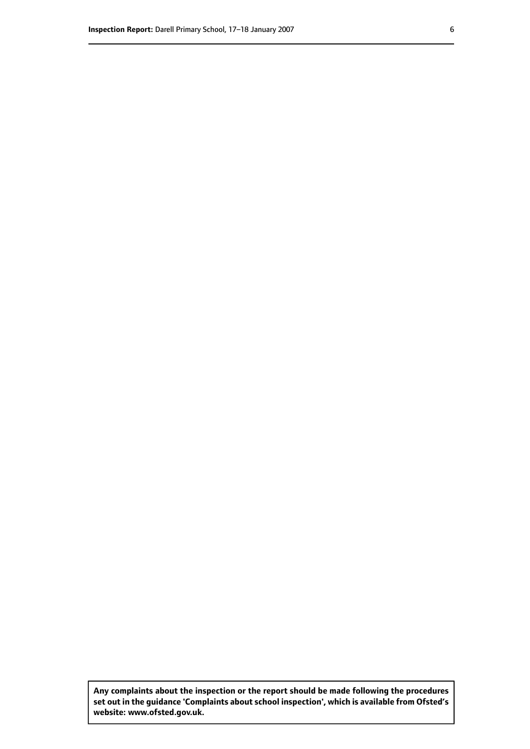**Any complaints about the inspection or the report should be made following the procedures set out inthe guidance 'Complaints about school inspection', whichis available from Ofsted's website: www.ofsted.gov.uk.**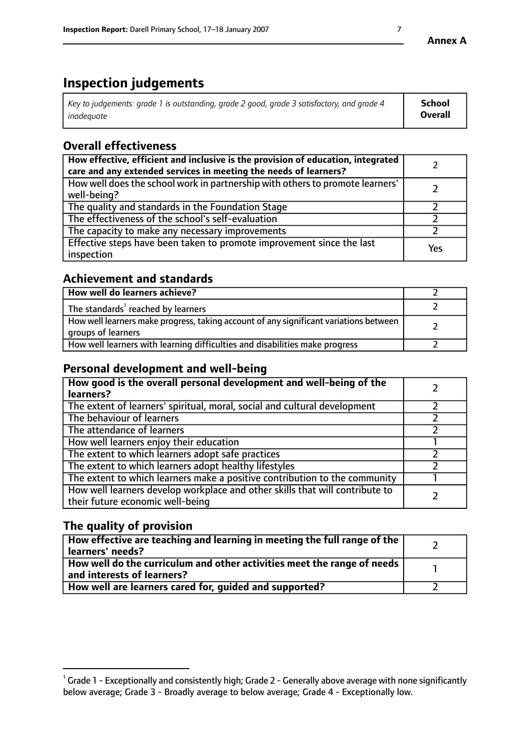# **Inspection judgements**

| $\vert$ Key to judgements: grade 1 is outstanding, grade 2 good, grade 3 satisfactory, and grade 4 | School         |
|----------------------------------------------------------------------------------------------------|----------------|
| inadeauate                                                                                         | <b>Overall</b> |

# **Overall effectiveness**

| How effective, efficient and inclusive is the provision of education, integrated<br>care and any extended services in meeting the needs of learners? |     |
|------------------------------------------------------------------------------------------------------------------------------------------------------|-----|
| How well does the school work in partnership with others to promote learners'<br>well-being?                                                         |     |
| The quality and standards in the Foundation Stage                                                                                                    |     |
| The effectiveness of the school's self-evaluation                                                                                                    |     |
| The capacity to make any necessary improvements                                                                                                      |     |
| Effective steps have been taken to promote improvement since the last<br>inspection                                                                  | Yes |

## **Achievement and standards**

| How well do learners achieve?                                                                               |  |
|-------------------------------------------------------------------------------------------------------------|--|
| The standards <sup>1</sup> reached by learners                                                              |  |
| How well learners make progress, taking account of any significant variations between<br>groups of learners |  |
| How well learners with learning difficulties and disabilities make progress                                 |  |

## **Personal development and well-being**

| How good is the overall personal development and well-being of the<br>learners?                                  |  |
|------------------------------------------------------------------------------------------------------------------|--|
| The extent of learners' spiritual, moral, social and cultural development                                        |  |
| The behaviour of learners                                                                                        |  |
| The attendance of learners                                                                                       |  |
| How well learners enjoy their education                                                                          |  |
| The extent to which learners adopt safe practices                                                                |  |
| The extent to which learners adopt healthy lifestyles                                                            |  |
| The extent to which learners make a positive contribution to the community                                       |  |
| How well learners develop workplace and other skills that will contribute to<br>their future economic well-being |  |

# **The quality of provision**

| How effective are teaching and learning in meeting the full range of the<br>  learners' needs?                      |  |
|---------------------------------------------------------------------------------------------------------------------|--|
| $\mid$ How well do the curriculum and other activities meet the range of needs<br>$\mid$ and interests of learners? |  |
| How well are learners cared for, guided and supported?                                                              |  |

 $^1$  Grade 1 - Exceptionally and consistently high; Grade 2 - Generally above average with none significantly below average; Grade 3 - Broadly average to below average; Grade 4 - Exceptionally low.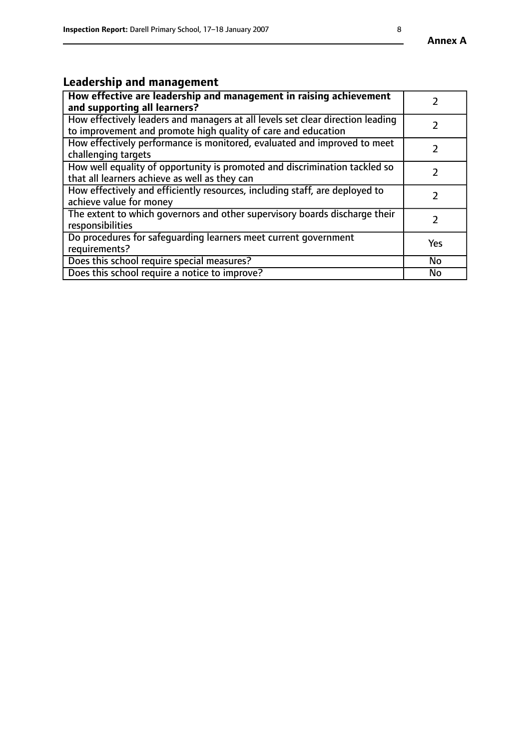# **Leadership and management**

| How effective are leadership and management in raising achievement<br>and supporting all learners?                                              |               |
|-------------------------------------------------------------------------------------------------------------------------------------------------|---------------|
| How effectively leaders and managers at all levels set clear direction leading<br>to improvement and promote high quality of care and education |               |
| How effectively performance is monitored, evaluated and improved to meet<br>challenging targets                                                 | $\mathcal{L}$ |
| How well equality of opportunity is promoted and discrimination tackled so<br>that all learners achieve as well as they can                     |               |
| How effectively and efficiently resources, including staff, are deployed to<br>achieve value for money                                          |               |
| The extent to which governors and other supervisory boards discharge their<br>responsibilities                                                  |               |
| Do procedures for safequarding learners meet current government<br>requirements?                                                                | Yes           |
| Does this school require special measures?                                                                                                      | No            |
| Does this school require a notice to improve?                                                                                                   | No            |